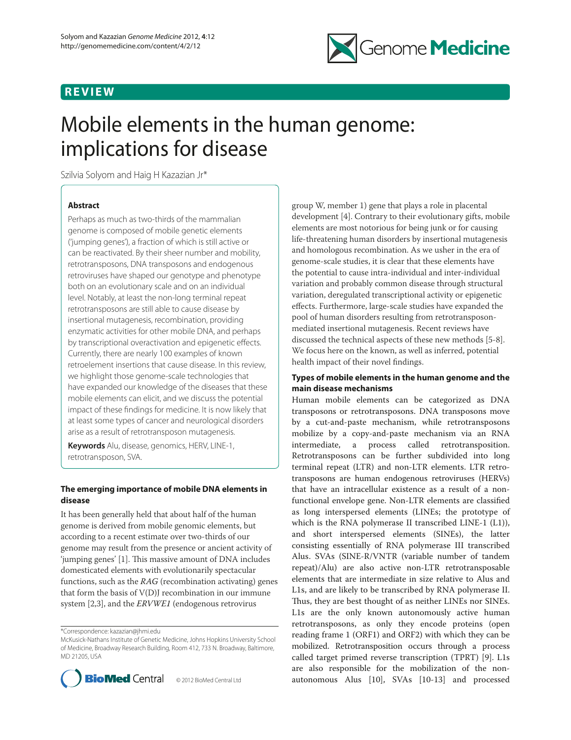# **REVIEW**



# Mobile elements in the human genome: implications for disease

Szilvia Solyom and Haig H Kazazian Jr\*

# **Abstract**

Perhaps as much as two-thirds of the mammalian genome is composed of mobile genetic elements ('jumping genes'), a fraction of which is still active or can be reactivated. By their sheer number and mobility, retrotransposons, DNA transposons and endogenous retroviruses have shaped our genotype and phenotype both on an evolutionary scale and on an individual level. Notably, at least the non-long terminal repeat retrotransposons are still able to cause disease by insertional mutagenesis, recombination, providing enzymatic activities for other mobile DNA, and perhaps by transcriptional overactivation and epigenetic effects. Currently, there are nearly 100 examples of known retroelement insertions that cause disease. In this review, we highlight those genome-scale technologies that have expanded our knowledge of the diseases that these mobile elements can elicit, and we discuss the potential impact of these findings for medicine. It is now likely that at least some types of cancer and neurological disorders arise as a result of retrotransposon mutagenesis.

**Keywords** Alu, disease, genomics, HERV, LINE-1, retrotransposon, SVA.

# **The emerging importance of mobile DNA elements in disease**

It has been generally held that about half of the human genome is derived from mobile genomic elements, but according to a recent estimate over two-thirds of our genome may result from the presence or ancient activity of 'jumping genes' [1]. This massive amount of DNA includes domesticated elements with evolutionarily spectacular functions, such as the *RAG* (recombination activating) genes that form the basis of V(D)J recombination in our immune system [2,3], and the *ERVWE1* (endogenous retrovirus

\*Correspondence: kazazian@jhmi.edu

McKusick-Nathans Institute of Genetic Medicine, Johns Hopkins University School of Medicine, Broadway Research Building, Room 412, 733 N. Broadway, Baltimore, MD 21205, USA



group W, member 1) gene that plays a role in placental development [4]. Contrary to their evolutionary gifts, mobile elements are most notorious for being junk or for causing life-threatening human disorders by insertional mutagenesis and homologous recombination. As we usher in the era of genome-scale studies, it is clear that these elements have the potential to cause intra-individual and inter-individual variation and probably common disease through structural variation, deregulated transcriptional activity or epigenetic effects. Furthermore, large-scale studies have expanded the pool of human disorders resulting from retrotransposonmediated insertional mutagenesis. Recent reviews have discussed the technical aspects of these new methods [5-8]. We focus here on the known, as well as inferred, potential health impact of their novel findings.

# **Types of mobile elements in the human genome and the main disease mechanisms**

Human mobile elements can be categorized as DNA transposons or retrotransposons. DNA transposons move by a cut-and-paste mechanism, while retrotransposons mobilize by a copy-and-paste mechanism via an RNA intermediate, a process called retrotransposition. Retrotransposons can be further subdivided into long terminal repeat (LTR) and non-LTR elements. LTR retrotransposons are human endogenous retroviruses (HERVs) that have an intracellular existence as a result of a nonfunctional envelope gene. Non-LTR elements are classified as long interspersed elements (LINEs; the prototype of which is the RNA polymerase II transcribed LINE-1 (L1)), and short interspersed elements (SINEs), the latter consisting essentially of RNA polymerase III transcribed Alus. SVAs (SINE-R/VNTR (variable number of tandem repeat)/Alu) are also active non-LTR retrotransposable elements that are intermediate in size relative to Alus and L1s, and are likely to be transcribed by RNA polymerase II. Thus, they are best thought of as neither LINEs nor SINEs. L1s are the only known autonomously active human retrotransposons, as only they encode proteins (open reading frame 1 (ORF1) and ORF2) with which they can be mobilized. Retrotransposition occurs through a process called target primed reverse transcription (TPRT) [9]. L1s are also responsible for the mobilization of the nonautonomous Alus [10], SVAs [10-13] and processed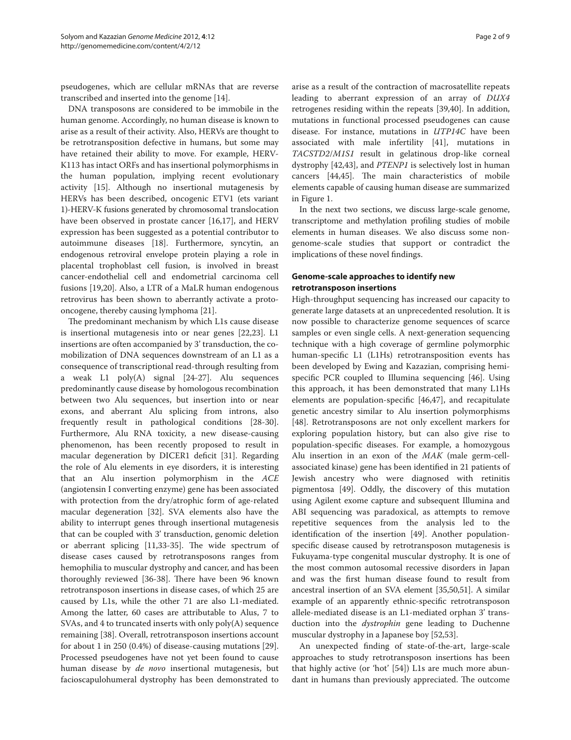pseudogenes, which are cellular mRNAs that are reverse transcribed and inserted into the genome [14].

DNA transposons are considered to be immobile in the human genome. Accordingly, no human disease is known to arise as a result of their activity. Also, HERVs are thought to be retrotransposition defective in humans, but some may have retained their ability to move. For example, HERV-K113 has intact ORFs and has insertional polymorphisms in the human population, implying recent evolutionary activity [15]. Although no insertional mutagenesis by HERVs has been described, oncogenic ETV1 (ets variant 1)-HERV-K fusions generated by chromosomal translocation have been observed in prostate cancer [16,17], and HERV expression has been suggested as a potential contributor to autoimmune diseases [18]. Furthermore, syncytin, an endogenous retroviral envelope protein playing a role in placental trophoblast cell fusion, is involved in breast cancer-endothelial cell and endometrial carcinoma cell fusions [19,20]. Also, a LTR of a MaLR human endogenous retrovirus has been shown to aberrantly activate a protooncogene, thereby causing lymphoma [21].

The predominant mechanism by which L1s cause disease is insertional mutagenesis into or near genes [22,23]. L1 insertions are often accompanied by 3' transduction, the comobilization of DNA sequences downstream of an L1 as a consequence of transcriptional read-through resulting from a weak L1 poly(A) signal [24-27]. Alu sequences predominantly cause disease by homologous recombination between two Alu sequences, but insertion into or near exons, and aberrant Alu splicing from introns, also frequently result in pathological conditions [28-30]. Furthermore, Alu RNA toxicity, a new disease-causing phenomenon, has been recently proposed to result in macular degeneration by DICER1 deficit [31]. Regarding the role of Alu elements in eye disorders, it is interesting that an Alu insertion polymorphism in the *ACE* (angiotensin I converting enzyme) gene has been associated with protection from the dry/atrophic form of age-related macular degeneration [32]. SVA elements also have the ability to interrupt genes through insertional mutagenesis that can be coupled with 3' transduction, genomic deletion or aberrant splicing [11,33-35]. The wide spectrum of disease cases caused by retrotransposons ranges from hemophilia to muscular dystrophy and cancer, and has been thoroughly reviewed [36-38]. There have been 96 known retrotransposon insertions in disease cases, of which 25 are caused by L1s, while the other 71 are also L1-mediated. Among the latter, 60 cases are attributable to Alus, 7 to SVAs, and 4 to truncated inserts with only poly(A) sequence remaining [38]. Overall, retrotransposon insertions account for about 1 in 250 (0.4%) of disease-causing mutations [29]. Processed pseudogenes have not yet been found to cause human disease by *de novo* insertional mutagenesis, but facioscapulohumeral dystrophy has been demonstrated to

arise as a result of the contraction of macrosatellite repeats leading to aberrant expression of an array of *DUX4* retrogenes residing within the repeats [39,40]. In addition, mutations in functional processed pseudogenes can cause disease. For instance, mutations in *UTP14C* have been associated with male infertility [41], mutations in *TACSTD2*/*M1S1* result in gelatinous drop-like corneal dystrophy [42,43], and *PTENP1* is selectively lost in human cancers [44,45]. The main characteristics of mobile elements capable of causing human disease are summarized in Figure 1.

In the next two sections, we discuss large-scale genome, transcriptome and methylation profiling studies of mobile elements in human diseases. We also discuss some nongenome-scale studies that support or contradict the implications of these novel findings.

# **Genome-scale approaches to identify new retrotransposon insertions**

High-throughput sequencing has increased our capacity to generate large datasets at an unprecedented resolution. It is now possible to characterize genome sequences of scarce samples or even single cells. A next-generation sequencing technique with a high coverage of germline polymorphic human-specific L1 (L1Hs) retrotransposition events has been developed by Ewing and Kazazian, comprising hemispecific PCR coupled to Illumina sequencing [46]. Using this approach, it has been demonstrated that many L1Hs elements are population-specific [46,47], and recapitulate genetic ancestry similar to Alu insertion polymorphisms [48]. Retrotransposons are not only excellent markers for exploring population history, but can also give rise to population-specific diseases. For example, a homozygous Alu insertion in an exon of the *MAK* (male germ-cellassociated kinase) gene has been identified in 21 patients of Jewish ancestry who were diagnosed with retinitis pigmentosa [49]. Oddly, the discovery of this mutation using Agilent exome capture and subsequent Illumina and ABI sequencing was paradoxical, as attempts to remove repetitive sequences from the analysis led to the identification of the insertion [49]. Another populationspecific disease caused by retrotransposon mutagenesis is Fukuyama-type congenital muscular dystrophy. It is one of the most common autosomal recessive disorders in Japan and was the first human disease found to result from ancestral insertion of an SVA element [35,50,51]. A similar example of an apparently ethnic-specific retrotransposon allele-mediated disease is an L1-mediated orphan 3' transduction into the *dystrophin* gene leading to Duchenne muscular dystrophy in a Japanese boy [52,53].

An unexpected finding of state-of-the-art, large-scale approaches to study retrotransposon insertions has been that highly active (or 'hot' [54]) L1s are much more abundant in humans than previously appreciated. The outcome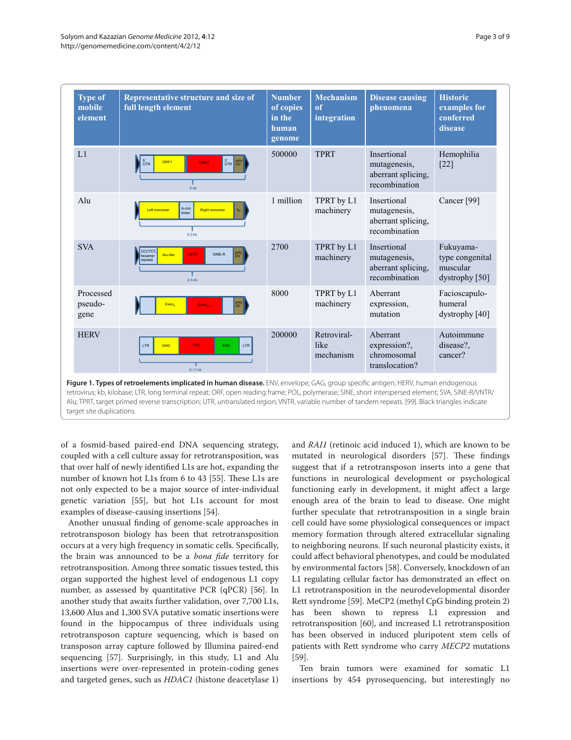| Type of<br>mobile<br>element | Representative structure and size of<br>full length element                                | <b>Number</b><br>of copies<br>in the<br>human<br>genome | <b>Mechanism</b><br>of<br>integration | <b>Disease causing</b><br>phenomena                                | <b>Historic</b><br>examples for<br>conferred<br>disease      |
|------------------------------|--------------------------------------------------------------------------------------------|---------------------------------------------------------|---------------------------------------|--------------------------------------------------------------------|--------------------------------------------------------------|
| L1                           | $3'$ poly<br>$^{5'}_{\tt UTR}$<br>ORF1<br>ORF <sub>2</sub><br>6 <sub>kb</sub>              | 500000                                                  | <b>TPRT</b>                           | Insertional<br>mutagenesis,<br>aberrant splicing,<br>recombination | Hemophilia<br>$[22]$                                         |
| Alu                          | A-rich<br>A.I<br>Left monomer<br><b>Right monomer</b><br>linker<br>0.3 <sub>kb</sub>       | 1 million                                               | TPRT by L1<br>machinery               | Insertional<br>mutagenesis,<br>aberrant splicing,<br>recombination | Cancer <sup>[99]</sup>                                       |
| <b>SVA</b>                   | CCCTCT<br>poly<br>(A)<br><b>VNTR</b><br>SINE-R<br>Alu-like<br>examer<br>epeats<br>$2-5$ kb | 2700                                                    | TPRT by L1<br>machinery               | Insertional<br>mutagenesis,<br>aberrant splicing,<br>recombination | Fukuyama-<br>type congenital<br>muscular<br>dystrophy $[50]$ |
| Processed<br>pseudo-<br>gene | poly<br>(A)<br>Exon <sub>x</sub><br>Exon <sub>x+1</sub>                                    | 8000                                                    | TPRT by L1<br>machinery               | Aberrant<br>expression,<br>mutation                                | Facioscapulo-<br>humeral<br>dystrophy $[40]$                 |
| <b>HERV</b>                  | GAG<br>POL<br>ENV<br><b>LTR</b><br><b>LTR</b><br>6-11 kb                                   | 200000                                                  | Retroviral-<br>like<br>mechanism      | Aberrant<br>expression?,<br>chromosomal<br>translocation?          | Autoimmune<br>disease?.<br>cancer?                           |

target site duplications.

of a fosmid-based paired-end DNA sequencing strategy, coupled with a cell culture assay for retrotransposition, was that over half of newly identified L1s are hot, expanding the number of known hot L1s from 6 to 43 [55]. These L1s are not only expected to be a major source of inter-individual genetic variation [55], but hot L1s account for most examples of disease-causing insertions [54].

Another unusual finding of genome-scale approaches in retrotransposon biology has been that retrotransposition occurs at a very high frequency in somatic cells. Specifically, the brain was announced to be a *bona fide* territory for retrotransposition. Among three somatic tissues tested, this organ supported the highest level of endogenous L1 copy number, as assessed by quantitative PCR (qPCR) [56]. In another study that awaits further validation, over 7,700 L1s, 13,600 Alus and 1,300 SVA putative somatic insertions were found in the hippocampus of three individuals using retrotransposon capture sequencing, which is based on transposon array capture followed by Illumina paired-end sequencing [57]. Surprisingly, in this study, L1 and Alu insertions were over-represented in protein-coding genes and targeted genes, such as *HDAC1* (histone deacetylase 1) and *RAI1* (retinoic acid induced 1), which are known to be mutated in neurological disorders [57]. These findings suggest that if a retrotransposon inserts into a gene that functions in neurological development or psychological functioning early in development, it might affect a large enough area of the brain to lead to disease. One might further speculate that retrotransposition in a single brain cell could have some physiological consequences or impact memory formation through altered extracellular signaling to neighboring neurons. If such neuronal plasticity exists, it could affect behavioral phenotypes, and could be modulated by environmental factors [58]. Conversely, knockdown of an L1 regulating cellular factor has demonstrated an effect on L1 retrotransposition in the neurodevelopmental disorder Rett syndrome [59]. MeCP2 (methyl CpG binding protein 2) has been shown to repress L1 expression and retrotransposition [60], and increased L1 retrotransposition has been observed in induced pluripotent stem cells of patients with Rett syndrome who carry *MECP2* mutations [59].

Ten brain tumors were examined for somatic L1 insertions by 454 pyrosequencing, but interestingly no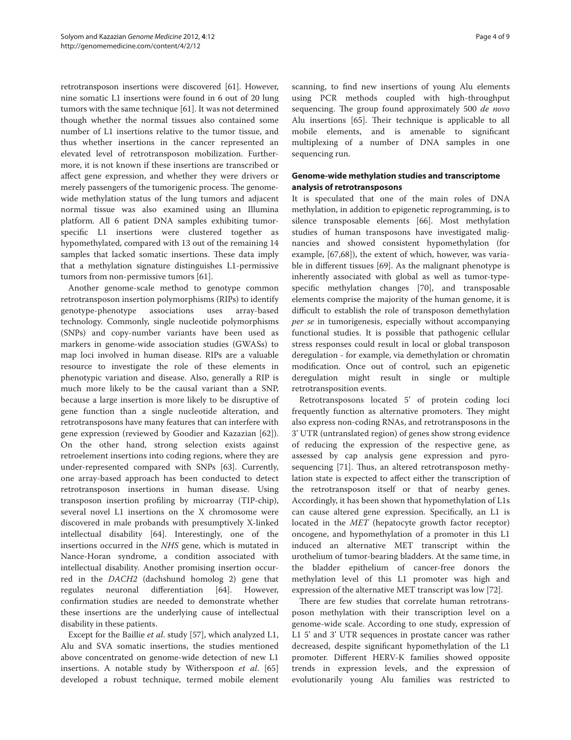retrotransposon insertions were discovered [61]. However, nine somatic L1 insertions were found in 6 out of 20 lung tumors with the same technique [61]. It was not determined though whether the normal tissues also contained some number of L1 insertions relative to the tumor tissue, and thus whether insertions in the cancer represented an elevated level of retrotransposon mobilization. Furthermore, it is not known if these insertions are transcribed or affect gene expression, and whether they were drivers or merely passengers of the tumorigenic process. The genomewide methylation status of the lung tumors and adjacent normal tissue was also examined using an Illumina platform. All 6 patient DNA samples exhibiting tumorspecific L1 insertions were clustered together as hypomethylated, compared with 13 out of the remaining 14 samples that lacked somatic insertions. These data imply that a methylation signature distinguishes L1-permissive tumors from non-permissive tumors [61].

Another genome-scale method to genotype common retrotransposon insertion polymorphisms (RIPs) to identify genotype-phenotype associations uses array-based technology. Commonly, single nucleotide polymorphisms (SNPs) and copy-number variants have been used as markers in genome-wide association studies (GWASs) to map loci involved in human disease. RIPs are a valuable resource to investigate the role of these elements in phenotypic variation and disease. Also, generally a RIP is much more likely to be the causal variant than a SNP, because a large insertion is more likely to be disruptive of gene function than a single nucleotide alteration, and retrotransposons have many features that can interfere with gene expression (reviewed by Goodier and Kazazian [62]). On the other hand, strong selection exists against retroelement insertions into coding regions, where they are under-represented compared with SNPs [63]. Currently, one array-based approach has been conducted to detect retrotransposon insertions in human disease. Using transposon insertion profiling by microarray (TIP-chip), several novel L1 insertions on the X chromosome were discovered in male probands with presumptively X-linked intellectual disability [64]. Interestingly, one of the insertions occurred in the *NHS* gene, which is mutated in Nance-Horan syndrome, a condition associated with intellectual disability. Another promising insertion occurred in the *DACH2* (dachshund homolog 2) gene that regulates neuronal differentiation [64]. However, confirmation studies are needed to demonstrate whether these insertions are the underlying cause of intellectual disability in these patients.

Except for the Baillie *et al*. study [57], which analyzed L1, Alu and SVA somatic insertions, the studies mentioned above concentrated on genome-wide detection of new L1 insertions. A notable study by Witherspoon *et al*. [65] developed a robust technique, termed mobile element scanning, to find new insertions of young Alu elements using PCR methods coupled with high-throughput sequencing. The group found approximately 500 *de novo* Alu insertions [65]. Their technique is applicable to all mobile elements, and is amenable to significant multiplexing of a number of DNA samples in one sequencing run.

# **Genome-wide methylation studies and transcriptome analysis of retrotransposons**

It is speculated that one of the main roles of DNA methylation, in addition to epigenetic reprogramming, is to silence transposable elements [66]. Most methylation studies of human transposons have investigated malignancies and showed consistent hypomethylation (for example, [67,68]), the extent of which, however, was variable in different tissues [69]. As the malignant phenotype is inherently associated with global as well as tumor-typespecific methylation changes [70], and transposable elements comprise the majority of the human genome, it is difficult to establish the role of transposon demethylation *per se* in tumorigenesis, especially without accompanying functional studies. It is possible that pathogenic cellular stress responses could result in local or global transposon deregulation - for example, via demethylation or chromatin modification. Once out of control, such an epigenetic deregulation might result in single or multiple retrotransposition events.

Retrotransposons located 5' of protein coding loci frequently function as alternative promoters. They might also express non-coding RNAs, and retrotransposons in the 3' UTR (untranslated region) of genes show strong evidence of reducing the expression of the respective gene, as assessed by cap analysis gene expression and pyrosequencing [71]. Thus, an altered retrotransposon methylation state is expected to affect either the transcription of the retrotransposon itself or that of nearby genes. Accordingly, it has been shown that hypomethylation of L1s can cause altered gene expression. Specifically, an L1 is located in the *MET* (hepatocyte growth factor receptor) oncogene, and hypomethylation of a promoter in this L1 induced an alternative MET transcript within the urothelium of tumor-bearing bladders. At the same time, in the bladder epithelium of cancer-free donors the methylation level of this L1 promoter was high and expression of the alternative MET transcript was low [72].

There are few studies that correlate human retrotransposon methylation with their transcription level on a genome-wide scale. According to one study, expression of L1 5' and 3' UTR sequences in prostate cancer was rather decreased, despite significant hypomethylation of the L1 promoter. Different HERV-K families showed opposite trends in expression levels, and the expression of evolutionarily young Alu families was restricted to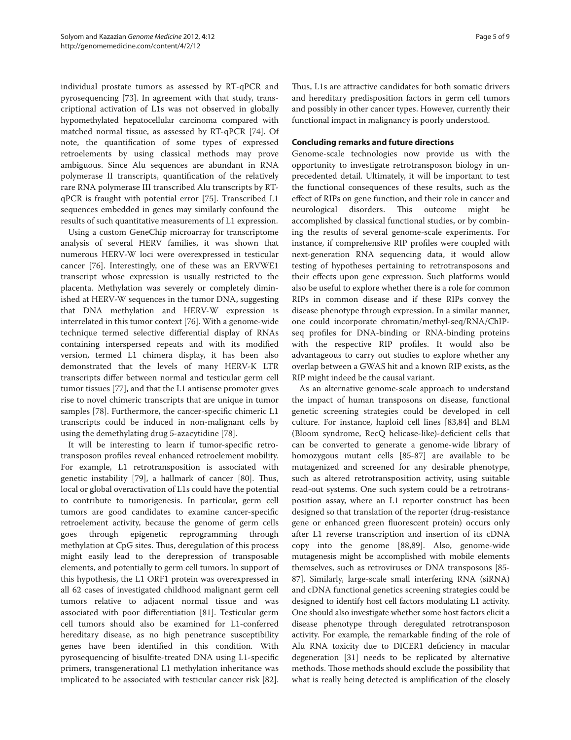individual prostate tumors as assessed by RT-qPCR and pyrosequencing [73]. In agreement with that study, transcriptional activation of L1s was not observed in globally hypomethylated hepatocellular carcinoma compared with matched normal tissue, as assessed by RT-qPCR [74]. Of note, the quantification of some types of expressed retroelements by using classical methods may prove ambiguous. Since Alu sequences are abundant in RNA polymerase II transcripts, quantification of the relatively rare RNA polymerase III transcribed Alu transcripts by RTqPCR is fraught with potential error [75]. Transcribed L1 sequences embedded in genes may similarly confound the results of such quantitative measurements of L1 expression.

Using a custom GeneChip microarray for transcriptome analysis of several HERV families, it was shown that numerous HERV-W loci were overexpressed in testicular cancer [76]. Interestingly, one of these was an ERVWE1 transcript whose expression is usually restricted to the placenta. Methylation was severely or completely diminished at HERV-W sequences in the tumor DNA, suggesting that DNA methylation and HERV-W expression is interrelated in this tumor context [76]. With a genome-wide technique termed selective differential display of RNAs containing interspersed repeats and with its modified version, termed L1 chimera display, it has been also demonstrated that the levels of many HERV-K LTR transcripts differ between normal and testicular germ cell tumor tissues [77], and that the L1 antisense promoter gives rise to novel chimeric transcripts that are unique in tumor samples [78]. Furthermore, the cancer-specific chimeric L1 transcripts could be induced in non-malignant cells by using the demethylating drug 5-azacytidine [78].

It will be interesting to learn if tumor-specific retrotransposon profiles reveal enhanced retroelement mobility. For example, L1 retrotransposition is associated with genetic instability [79], a hallmark of cancer [80]. Thus, local or global overactivation of L1s could have the potential to contribute to tumorigenesis. In particular, germ cell tumors are good candidates to examine cancer-specific retroelement activity, because the genome of germ cells goes through epigenetic reprogramming through methylation at CpG sites. Thus, deregulation of this process might easily lead to the derepression of transposable elements, and potentially to germ cell tumors. In support of this hypothesis, the L1 ORF1 protein was overexpressed in all 62 cases of investigated childhood malignant germ cell tumors relative to adjacent normal tissue and was associated with poor differentiation [81]. Testicular germ cell tumors should also be examined for L1-conferred hereditary disease, as no high penetrance susceptibility genes have been identified in this condition. With pyrosequencing of bisulfite-treated DNA using L1-specific primers, transgenerational L1 methylation inheritance was implicated to be associated with testicular cancer risk [82].

Thus, L1s are attractive candidates for both somatic drivers and hereditary predisposition factors in germ cell tumors and possibly in other cancer types. However, currently their functional impact in malignancy is poorly understood.

### **Concluding remarks and future directions**

Genome-scale technologies now provide us with the opportunity to investigate retrotransposon biology in unprecedented detail. Ultimately, it will be important to test the functional consequences of these results, such as the effect of RIPs on gene function, and their role in cancer and neurological disorders. This outcome might be accomplished by classical functional studies, or by combining the results of several genome-scale experiments. For instance, if comprehensive RIP profiles were coupled with next-generation RNA sequencing data, it would allow testing of hypotheses pertaining to retrotransposons and their effects upon gene expression. Such platforms would also be useful to explore whether there is a role for common RIPs in common disease and if these RIPs convey the disease phenotype through expression. In a similar manner, one could incorporate chromatin/methyl-seq/RNA/ChIPseq profiles for DNA-binding or RNA-binding proteins with the respective RIP profiles. It would also be advantageous to carry out studies to explore whether any overlap between a GWAS hit and a known RIP exists, as the RIP might indeed be the causal variant.

As an alternative genome-scale approach to understand the impact of human transposons on disease, functional genetic screening strategies could be developed in cell culture. For instance, haploid cell lines [83,84] and BLM (Bloom syndrome, RecQ helicase-like)-deficient cells that can be converted to generate a genome-wide library of homozygous mutant cells [85-87] are available to be mutagenized and screened for any desirable phenotype, such as altered retrotransposition activity, using suitable read-out systems. One such system could be a retrotransposition assay, where an L1 reporter construct has been designed so that translation of the reporter (drug-resistance gene or enhanced green fluorescent protein) occurs only after L1 reverse transcription and insertion of its cDNA copy into the genome [88,89]. Also, genome-wide mutagenesis might be accomplished with mobile elements themselves, such as retroviruses or DNA transposons [85- 87]. Similarly, large-scale small interfering RNA (siRNA) and cDNA functional genetics screening strategies could be designed to identify host cell factors modulating L1 activity. One should also investigate whether some host factors elicit a disease phenotype through deregulated retrotransposon activity. For example, the remarkable finding of the role of Alu RNA toxicity due to DICER1 deficiency in macular degeneration [31] needs to be replicated by alternative methods. Those methods should exclude the possibility that what is really being detected is amplification of the closely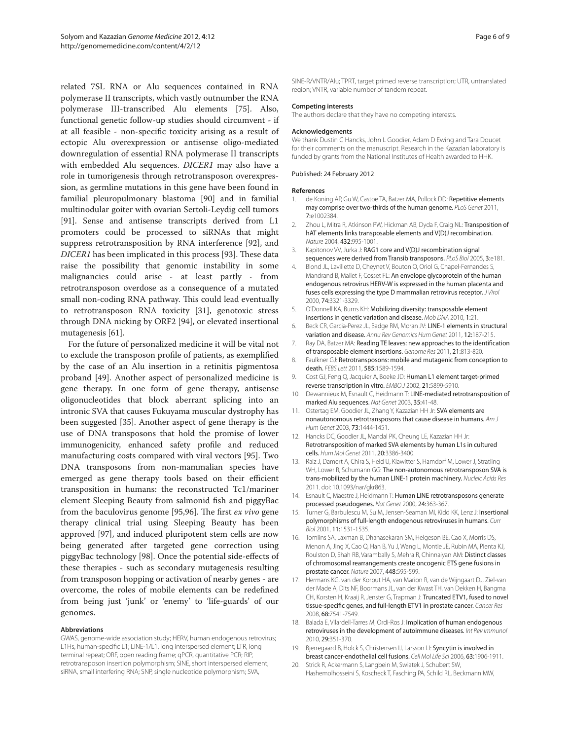related 7SL RNA or Alu sequences contained in RNA polymerase II transcripts, which vastly outnumber the RNA polymerase III-transcribed Alu elements [75]. Also, functional genetic follow-up studies should circumvent - if at all feasible - non-specific toxicity arising as a result of ectopic Alu overexpression or antisense oligo-mediated downregulation of essential RNA polymerase II transcripts with embedded Alu sequences. *DICER1* may also have a role in tumorigenesis through retrotransposon overexpression, as germline mutations in this gene have been found in familial pleuropulmonary blastoma [90] and in familial multinodular goiter with ovarian Sertoli-Leydig cell tumors [91]. Sense and antisense transcripts derived from L1 promoters could be processed to siRNAs that might suppress retrotransposition by RNA interference [92], and *DICER1* has been implicated in this process [93]. These data raise the possibility that genomic instability in some malignancies could arise - at least partly - from retrotransposon overdose as a consequence of a mutated small non-coding RNA pathway. This could lead eventually to retrotransposon RNA toxicity [31], genotoxic stress through DNA nicking by ORF2 [94], or elevated insertional mutagenesis [61].

For the future of personalized medicine it will be vital not to exclude the transposon profile of patients, as exemplified by the case of an Alu insertion in a retinitis pigmentosa proband [49]. Another aspect of personalized medicine is gene therapy. In one form of gene therapy, antisense oligonucleotides that block aberrant splicing into an intronic SVA that causes Fukuyama muscular dystrophy has been suggested [35]. Another aspect of gene therapy is the use of DNA transposons that hold the promise of lower immunogenicity, enhanced safety profile and reduced manufacturing costs compared with viral vectors [95]. Two DNA transposons from non-mammalian species have emerged as gene therapy tools based on their efficient transposition in humans: the reconstructed Tc1/mariner element Sleeping Beauty from salmonid fish and piggyBac from the baculovirus genome [95,96]. The first *ex vivo* gene therapy clinical trial using Sleeping Beauty has been approved [97], and induced pluripotent stem cells are now being generated after targeted gene correction using piggyBac technology [98]. Once the potential side-effects of these therapies - such as secondary mutagenesis resulting from transposon hopping or activation of nearby genes - are overcome, the roles of mobile elements can be redefined from being just 'junk' or 'enemy' to 'life-guards' of our genomes.

#### **Abbreviations**

GWAS, genome-wide association study; HERV, human endogenous retrovirus; L1Hs, human-specific L1; LINE-1/L1, long interspersed element; LTR, long terminal repeat; ORF, open reading frame; qPCR, quantitative PCR; RIP, retrotransposon insertion polymorphism; SINE, short interspersed element; siRNA, small interfering RNA; SNP, single nucleotide polymorphism; SVA,

Page 6 of 9

SINE-R/VNTR/Alu; TPRT, target primed reverse transcription; UTR, untranslated region; VNTR, variable number of tandem repeat.

#### **Competing interests**

The authors declare that they have no competing interests.

#### **Acknowledgements**

We thank Dustin C Hancks, John L Goodier, Adam D Ewing and Tara Doucet for their comments on the manuscript. Research in the Kazazian laboratory is funded by grants from the National Institutes of Health awarded to HHK.

#### Published: 24 February 2012

#### **References**

- 1. de Koning AP, Gu W, Castoe TA, Batzer MA, Pollock DD: Repetitive elements may comprise over two-thirds of the human genome. *PLoS Genet* 2011, 7:e1002384.
- 2. Zhou L, Mitra R, Atkinson PW, Hickman AB, Dyda F, Craig NL: Transposition of hAT elements links transposable elements and V(D)J recombination. *Nature* 2004, 432:995-1001.
- 3. Kapitonov VV, Jurka J: RAG1 core and V(D)J recombination signal sequences were derived from Transib transposons. *PLoS Biol* 2005, 3:e181.
- 4. Blond JL, Lavillette D, Cheynet V, Bouton O, Oriol G, Chapel-Fernandes S, Mandrand B, Mallet F, Cosset FL: An envelope glycoprotein of the human endogenous retrovirus HERV-W is expressed in the human placenta and fuses cells expressing the type D mammalian retrovirus receptor. *J Virol* 2000, 74:3321-3329.
- 5. O'Donnell KA, Burns KH: Mobilizing diversity: transposable element insertions in genetic variation and disease. *Mob DNA* 2010, 1:21.
- 6. Beck CR, Garcia-Perez JL, Badge RM, Moran JV: LINE-1 elements in structural variation and disease. *Annu Rev Genomics Hum Genet* 2011, 12:187-215.
- 7. Ray DA, Batzer MA: Reading TE leaves: new approaches to the identification of transposable element insertions. *Genome Res* 2011, 21:813-820.
- 8. Faulkner GJ: Retrotransposons: mobile and mutagenic from conception to death. *FEBS Lett* 2011, 585:1589-1594.
- Cost GJ, Feng Q, Jacquier A, Boeke JD: Human L1 element target-primed reverse transcription in vitro. *EMBO J* 2002, 21:5899-5910.
- 10. Dewannieux M, Esnault C, Heidmann T: LINE-mediated retrotransposition of marked Alu sequences. *Nat Genet* 2003, 35:41-48.
- 11. Ostertag EM, Goodier JL, Zhang Y, Kazazian HH Jr: SVA elements are nonautonomous retrotransposons that cause disease in humans. *Am J Hum Genet* 2003, 73:1444-1451.
- 12. Hancks DC, Goodier JL, Mandal PK, Cheung LE, Kazazian HH Jr: Retrotransposition of marked SVA elements by human L1s in cultured cells. *Hum Mol Genet* 2011, 20:3386-3400.
- 13. Raiz J, Damert A, Chira S, Held U, Klawitter S, Hamdorf M, Lower J, Stratling WH, Lower R, Schumann GG: The non-autonomous retrotransposon SVA is trans-mobilized by the human LINE-1 protein machinery. *Nucleic Acids Res* 2011. doi: 10.1093/nar/gkr863.
- 14. Esnault C, Maestre J, Heidmann T: Human LINE retrotransposons generate processed pseudogenes. *Nat Genet* 2000, 24:363-367.
- 15. Turner G, Barbulescu M, Su M, Jensen-Seaman MI, Kidd KK, Lenz J: Insertional polymorphisms of full-length endogenous retroviruses in humans. *Curr Biol* 2001, 11:1531-1535.
- 16. Tomlins SA, Laxman B, Dhanasekaran SM, Helgeson BE, Cao X, Morris DS, Menon A, Jing X, Cao Q, Han B, Yu J, Wang L, Montie JE, Rubin MA, Pienta KJ, Roulston D, Shah RB, Varambally S, Mehra R, Chinnaiyan AM: Distinct classes of chromosomal rearrangements create oncogenic ETS gene fusions in prostate cancer. *Nature* 2007, 448:595-599.
- 17. Hermans KG, van der Korput HA, van Marion R, van de Wijngaart DJ, Ziel-van der Made A, Dits NF, Boormans JL, van der Kwast TH, van Dekken H, Bangma CH, Korsten H, Kraaij R, Jenster G, Trapman J: Truncated ETV1, fused to novel tissue-specific genes, and full-length ETV1 in prostate cancer. *Cancer Res* 2008, 68:7541-7549.
- 18. Balada E, Vilardell-Tarres M, Ordi-Ros J: Implication of human endogenous retroviruses in the development of autoimmune diseases. *Int Rev Immunol*  2010, 29:351-370.
- 19. Bjerregaard B, Holck S, Christensen IJ, Larsson LI: Syncytin is involved in breast cancer-endothelial cell fusions. *Cell Mol Life Sci* 2006, 63:1906-1911.
- 20. Strick R, Ackermann S, Langbein M, Swiatek J, Schubert SW, Hashemolhosseini S, Koscheck T, Fasching PA, Schild RL, Beckmann MW,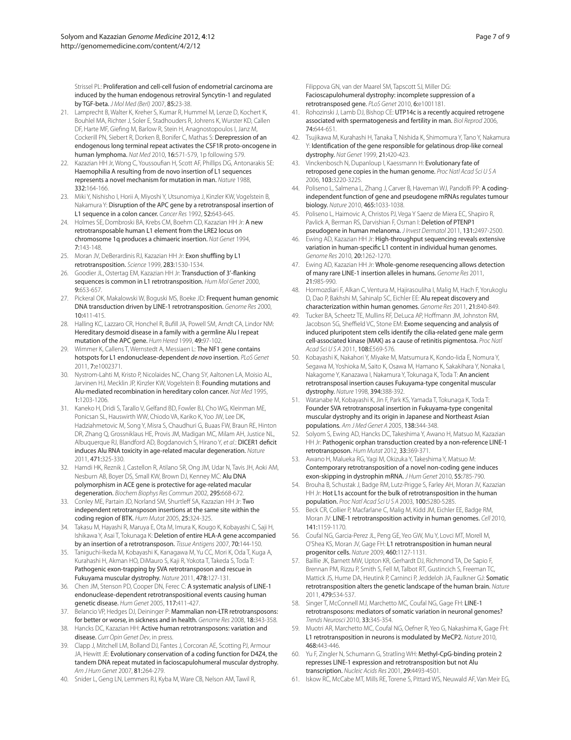Strissel PL: Proliferation and cell-cell fusion of endometrial carcinoma are induced by the human endogenous retroviral Syncytin-1 and regulated by TGF-beta. *J Mol Med (Berl)* 2007, 85:23-38.

- 21. Lamprecht B, Walter K, Kreher S, Kumar R, Hummel M, Lenze D, Kochert K, Bouhlel MA, Richter J, Soler E, Stadhouders R, Johrens K, Wurster KD, Callen DF, Harte MF, Giefing M, Barlow R, Stein H, Anagnostopoulos I, Janz M, Cockerill PN, Siebert R, Dorken B, Bonifer C, Mathas S: Derepression of an endogenous long terminal repeat activates the CSF1R proto-oncogene in human lymphoma. *Nat Med* 2010, 16:571-579, 1p following 579.
- 22. Kazazian HH Jr, Wong C, Youssoufian H, Scott AF, Phillips DG, Antonarakis SE: Haemophilia A resulting from de novo insertion of L1 sequences represents a novel mechanism for mutation in man. *Nature* 1988, 332:164-166.
- 23. Miki Y, Nishisho I, Horii A, Miyoshi Y, Utsunomiya J, Kinzler KW, Vogelstein B, Nakamura Y: Disruption of the APC gene by a retrotransposal insertion of L1 sequence in a colon cancer. *Cancer Res* 1992, 52:643-645.
- 24. Holmes SE, Dombroski BA, Krebs CM, Boehm CD, Kazazian HH Jr: A new retrotransposable human L1 element from the LRE2 locus on chromosome 1q produces a chimaeric insertion. *Nat Genet* 1994, 7:143-148.
- 25. Moran JV, DeBerardinis RJ, Kazazian HH Jr: Exon shuffling by L1 retrotransposition. *Science* 1999, 283:1530-1534.
- 26. Goodier JL, Ostertag EM, Kazazian HH Jr: Transduction of 3'-flanking sequences is common in L1 retrotransposition. *Hum Mol Genet* 2000, 9:653-657.
- 27. Pickeral OK, Makalowski W, Boguski MS, Boeke JD: Frequent human genomic DNA transduction driven by LINE-1 retrotransposition. *Genome Res* 2000, 10:411-415.
- 28. Halling KC, Lazzaro CR, Honchel R, Bufill JA, Powell SM, Arndt CA, Lindor NM: Hereditary desmoid disease in a family with a germline Alu I repeat mutation of the APC gene. *Hum Hered* 1999, 49:97-102.
- 29. Wimmer K, Callens T, Wernstedt A, Messiaen L: The NF1 gene contains hotspots for L1 endonuclease-dependent *de novo* insertion. *PLoS Genet* 2011, 7:e1002371.
- 30. Nystrom-Lahti M, Kristo P, Nicolaides NC, Chang SY, Aaltonen LA, Moisio AL, Jarvinen HJ, Mecklin JP, Kinzler KW, Vogelstein B: Founding mutations and Alu-mediated recombination in hereditary colon cancer. *Nat Med* 1995, 1:1203-1206.
- 31. Kaneko H, Dridi S, Tarallo V, Gelfand BD, Fowler BJ, Cho WG, Kleinman ME, Ponicsan SL, Hauswirth WW, Chiodo VA, Kariko K, Yoo JW, Lee DK, Hadziahmetovic M, Song Y, Misra S, Chaudhuri G, Buaas FW, Braun RE, Hinton DR, Zhang Q, Grossniklaus HE, Provis JM, Madigan MC, Milam AH, Justice NL, Albuquerque RJ, Blandford AD, Bogdanovich S, Hirano Y, *et al*.: DICER1 deficit induces Alu RNA toxicity in age-related macular degeneration. *Nature* 2011, 471:325-330.
- 32. Hamdi HK, Reznik J, Castellon R, Atilano SR, Ong JM, Udar N, Tavis JH, Aoki AM, Nesburn AB, Boyer DS, Small KW, Brown DJ, Kenney MC: Alu DNA polymorphism in ACE gene is protective for age-related macular degeneration. *Biochem Biophys Res Commun* 2002, 295:668-672.
- 33. Conley ME, Partain JD, Norland SM, Shurtleff SA, Kazazian HH Jr: Two independent retrotransposon insertions at the same site within the coding region of BTK. *Hum Mutat* 2005, 25:324-325.
- 34. Takasu M, Hayashi R, Maruya E, Ota M, Imura K, Kougo K, Kobayashi C, Saji H, Ishikawa Y, Asai T, Tokunaga K: Deletion of entire HLA-A gene accompanied by an insertion of a retrotransposon. *Tissue Antigens* 2007, 70:144-150.
- 35. Taniguchi-Ikeda M, Kobayashi K, Kanagawa M, Yu CC, Mori K, Oda T, Kuga A, Kurahashi H, Akman HO, DiMauro S, Kaji R, Yokota T, Takeda S, Toda T: Pathogenic exon-trapping by SVA retrotransposon and rescue in Fukuyama muscular dystrophy. *Nature* 2011, 478:127-131.
- 36. Chen JM, Stenson PD, Cooper DN, Ferec C: A systematic analysis of LINE-1 endonuclease-dependent retrotranspositional events causing human genetic disease. *Hum Genet* 2005, 117:411-427.
- 37. Belancio VP, Hedges DJ, Deininger P: Mammalian non-LTR retrotransposons: for better or worse, in sickness and in health. *Genome Res* 2008, 18:343-358.
- 38. Hancks DC, Kazazian HH: Active human retrotransposons: variation and disease. *Curr Opin Genet Dev*, in press.
- 39. Clapp J, Mitchell LM, Bolland DJ, Fantes J, Corcoran AE, Scotting PJ, Armour JA, Hewitt JE: Evolutionary conservation of a coding function for D4Z4, the tandem DNA repeat mutated in facioscapulohumeral muscular dystrophy. *Am J Hum Genet* 2007, 81:264-279.
- 40. Snider L, Geng LN, Lemmers RJ, Kyba M, Ware CB, Nelson AM, Tawil R,

Filippova GN, van der Maarel SM, Tapscott SJ, Miller DG: Facioscapulohumeral dystrophy: incomplete suppression of a retrotransposed gene. *PLoS Genet* 2010, 6:e1001181.

- 41. Rohozinski J, Lamb DJ, Bishop CE: UTP14c is a recently acquired retrogene associated with spermatogenesis and fertility in man. *Biol Reprod* 2006, 74:644-651.
- 42. Tsujikawa M, Kurahashi H, Tanaka T, Nishida K, Shimomura Y, Tano Y, Nakamura Y: Identification of the gene responsible for gelatinous drop-like corneal dystrophy. *Nat Genet* 1999, 21:420-423.
- 43. Vinckenbosch N, Dupanloup I, Kaessmann H: Evolutionary fate of retroposed gene copies in the human genome. *Proc Natl Acad Sci U S A* 2006, 103:3220-3225.
- 44. Poliseno L, Salmena L, Zhang J, Carver B, Haveman WJ, Pandolfi PP: A codingindependent function of gene and pseudogene mRNAs regulates tumour biology. *Nature* 2010, 465:1033-1038.
- 45. Poliseno L, Haimovic A, Christos PJ, Vega Y Saenz de Miera EC, Shapiro R, Pavlick A, Berman RS, Darvishian F, Osman I: Deletion of PTENP1 pseudogene in human melanoma. *J Invest Dermatol* 2011, 131:2497-2500.
- 46. Ewing AD, Kazazian HH Jr: High-throughput sequencing reveals extensive variation in human-specific L1 content in individual human genomes. *Genome Res* 2010, 20:1262-1270.
- 47. Ewing AD, Kazazian HH Jr: Whole-genome resequencing allows detection of many rare LINE-1 insertion alleles in humans. *Genome Res* 2011, 21:985-990.
- 48. Hormozdiari F, Alkan C, Ventura M, Hajirasouliha I, Malig M, Hach F, Yorukoglu D, Dao P, Bakhshi M, Sahinalp SC, Eichler EE: Alu repeat discovery and characterization within human genomes. *Genome Res* 2011, 21:840-849.
- 49. Tucker BA, Scheetz TE, Mullins RF, DeLuca AP, Hoffmann JM, Johnston RM, Jacobson SG, Sheffield VC, Stone EM: Exome sequencing and analysis of induced pluripotent stem cells identify the cilia-related gene male germ cell-associated kinase (MAK) as a cause of retinitis pigmentosa. *Proc Natl Acad Sci U S A* 2011, 108:E569-576.
- 50. Kobayashi K, Nakahori Y, Miyake M, Matsumura K, Kondo-Iida E, Nomura Y, Segawa M, Yoshioka M, Saito K, Osawa M, Hamano K, Sakakihara Y, Nonaka I, Nakagome Y, Kanazawa I, Nakamura Y, Tokunaga K, Toda T: An ancient retrotransposal insertion causes Fukuyama-type congenital muscular dystrophy. *Nature* 1998, 394:388-392.
- 51. Watanabe M, Kobayashi K, Jin F, Park KS, Yamada T, Tokunaga K, Toda T: Founder SVA retrotransposal insertion in Fukuyama-type congenital muscular dystrophy and its origin in Japanese and Northeast Asian populations. *Am J Med Genet A* 2005, 138:344-348.
- 52. Solyom S, Ewing AD, Hancks DC, Takeshima Y, Awano H, Matsuo M, Kazazian HH Jr: Pathogenic orphan transduction created by a non-reference LINE-1 retrotransposon. *Hum Mutat* 2012, 33:369-371.
- 53. Awano H, Malueka RG, Yagi M, Okizuka Y, Takeshima Y, Matsuo M: Contemporary retrotransposition of a novel non-coding gene induces exon-skipping in dystrophin mRNA. *J Hum Genet* 2010, 55:785-790.
- 54. Brouha B, Schustak J, Badge RM, Lutz-Prigge S, Farley AH, Moran JV, Kazazian HH Jr: Hot L1s account for the bulk of retrotransposition in the human population. *Proc Natl Acad Sci U S A* 2003, 100:5280-5285.
- 55. Beck CR, Collier P, Macfarlane C, Malig M, Kidd JM, Eichler EE, Badge RM, Moran JV: LINE-1 retrotransposition activity in human genomes. *Cell* 2010, 141:1159-1170.
- 56. Coufal NG, Garcia-Perez JL, Peng GE, Yeo GW, Mu Y, Lovci MT, Morell M, O'Shea KS, Moran JV, Gage FH: L1 retrotransposition in human neural progenitor cells. *Nature* 2009, 460:1127-1131.
- 57. Baillie JK, Barnett MW, Upton KR, Gerhardt DJ, Richmond TA, De Sapio F, Brennan PM, Rizzu P, Smith S, Fell M, Talbot RT, Gustincich S, Freeman TC, Mattick JS, Hume DA, Heutink P, Carninci P, Jeddeloh JA, Faulkner GJ: Somatic retrotransposition alters the genetic landscape of the human brain. *Nature*  2011, 479:534-537.
- 58. Singer T, McConnell MJ, Marchetto MC, Coufal NG, Gage FH: LINE-1 retrotransposons: mediators of somatic variation in neuronal genomes? *Trends Neurosci* 2010, 33:345-354.
- 59. Muotri AR, Marchetto MC, Coufal NG, Oefner R, Yeo G, Nakashima K, Gage FH: L1 retrotransposition in neurons is modulated by MeCP2. *Nature* 2010, 468:443-446.
- 60. Yu F, Zingler N, Schumann G, Stratling WH: Methyl-CpG-binding protein 2 represses LINE-1 expression and retrotransposition but not Alu transcription. *Nucleic Acids Res* 2001, 29:4493-4501.
- 61. Iskow RC, McCabe MT, Mills RE, Torene S, Pittard WS, Neuwald AF, Van Meir EG,